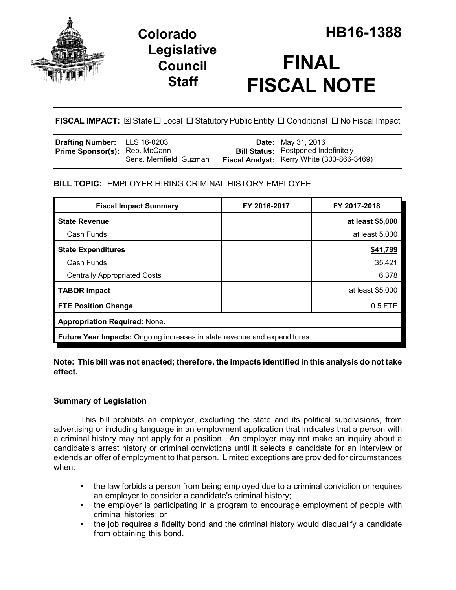

## **Legislative Council Staff**

# **FINAL FISCAL NOTE**

**FISCAL IMPACT:**  $\boxtimes$  **State □ Local □ Statutory Public Entity □ Conditional □ No Fiscal Impact** 

| <b>Drafting Number:</b> LLS 16-0203  |                          | <b>Date:</b> May 31, 2016                                                                |
|--------------------------------------|--------------------------|------------------------------------------------------------------------------------------|
| <b>Prime Sponsor(s): Rep. McCann</b> | Sens. Merrifield; Guzman | <b>Bill Status:</b> Postponed Indefinitely<br>Fiscal Analyst: Kerry White (303-866-3469) |

## **BILL TOPIC:** EMPLOYER HIRING CRIMINAL HISTORY EMPLOYEE

| <b>Fiscal Impact Summary</b>                                              | FY 2016-2017 | FY 2017-2018     |  |  |  |
|---------------------------------------------------------------------------|--------------|------------------|--|--|--|
| <b>State Revenue</b>                                                      |              | at least \$5,000 |  |  |  |
| Cash Funds                                                                |              | at least 5,000   |  |  |  |
| <b>State Expenditures</b>                                                 |              | \$41,799         |  |  |  |
| Cash Funds                                                                |              | 35,421           |  |  |  |
| <b>Centrally Appropriated Costs</b>                                       |              | 6,378            |  |  |  |
| <b>TABOR Impact</b>                                                       |              | at least \$5,000 |  |  |  |
| <b>FTE Position Change</b>                                                |              | 0.5 FTE          |  |  |  |
| <b>Appropriation Required: None.</b>                                      |              |                  |  |  |  |
| Future Year Impacts: Ongoing increases in state revenue and expenditures. |              |                  |  |  |  |

### **Note: This bill was not enacted; therefore, the impacts identified in this analysis do not take effect.**

## **Summary of Legislation**

This bill prohibits an employer, excluding the state and its political subdivisions, from advertising or including language in an employment application that indicates that a person with a criminal history may not apply for a position. An employer may not make an inquiry about a candidate's arrest history or criminal convictions until it selects a candidate for an interview or extends an offer of employment to that person. Limited exceptions are provided for circumstances when:

- the law forbids a person from being employed due to a criminal conviction or requires an employer to consider a candidate's criminal history;
- the employer is participating in a program to encourage employment of people with criminal histories; or
- the job requires a fidelity bond and the criminal history would disqualify a candidate from obtaining this bond.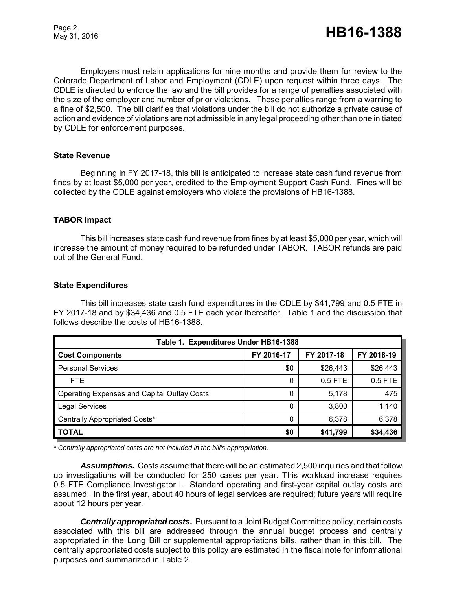Page 2

Employers must retain applications for nine months and provide them for review to the Colorado Department of Labor and Employment (CDLE) upon request within three days. The CDLE is directed to enforce the law and the bill provides for a range of penalties associated with the size of the employer and number of prior violations. These penalties range from a warning to a fine of \$2,500. The bill clarifies that violations under the bill do not authorize a private cause of action and evidence of violations are not admissible in any legal proceeding other than one initiated by CDLE for enforcement purposes.

#### **State Revenue**

Beginning in FY 2017-18, this bill is anticipated to increase state cash fund revenue from fines by at least \$5,000 per year, credited to the Employment Support Cash Fund. Fines will be collected by the CDLE against employers who violate the provisions of HB16-1388.

#### **TABOR Impact**

This bill increases state cash fund revenue from fines by at least \$5,000 per year, which will increase the amount of money required to be refunded under TABOR. TABOR refunds are paid out of the General Fund.

#### **State Expenditures**

This bill increases state cash fund expenditures in the CDLE by \$41,799 and 0.5 FTE in FY 2017-18 and by \$34,436 and 0.5 FTE each year thereafter. Table 1 and the discussion that follows describe the costs of HB16-1388.

| Table 1. Expenditures Under HB16-1388              |            |            |            |  |  |  |
|----------------------------------------------------|------------|------------|------------|--|--|--|
| <b>Cost Components</b>                             | FY 2016-17 | FY 2017-18 | FY 2018-19 |  |  |  |
| <b>Personal Services</b>                           | \$0        | \$26,443   | \$26,443   |  |  |  |
| FTE.                                               | 0          | $0.5$ FTE  | $0.5$ FTE  |  |  |  |
| <b>Operating Expenses and Capital Outlay Costs</b> | 0          | 5,178      | 475        |  |  |  |
| <b>Legal Services</b>                              | 0          | 3,800      | 1,140      |  |  |  |
| Centrally Appropriated Costs*                      | 0          | 6,378      | 6,378      |  |  |  |
| <b>TOTAL</b>                                       | \$0        | \$41,799   | \$34,436   |  |  |  |

*\* Centrally appropriated costs are not included in the bill's appropriation.*

*Assumptions.* Costs assume that there will be an estimated 2,500 inquiries and that follow up investigations will be conducted for 250 cases per year. This workload increase requires 0.5 FTE Compliance Investigator I. Standard operating and first-year capital outlay costs are assumed. In the first year, about 40 hours of legal services are required; future years will require about 12 hours per year.

*Centrally appropriated costs.* Pursuant to a Joint Budget Committee policy, certain costs associated with this bill are addressed through the annual budget process and centrally appropriated in the Long Bill or supplemental appropriations bills, rather than in this bill. The centrally appropriated costs subject to this policy are estimated in the fiscal note for informational purposes and summarized in Table 2.